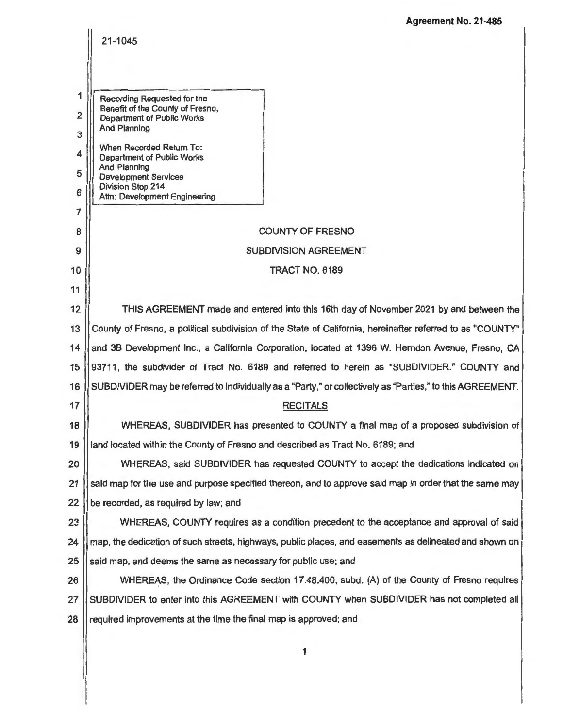|  | Agreement No. 21-485 |
|--|----------------------|
|--|----------------------|

|                                                           | 21-1045                                                                                                                                                                                                                                                                                    |  |
|-----------------------------------------------------------|--------------------------------------------------------------------------------------------------------------------------------------------------------------------------------------------------------------------------------------------------------------------------------------------|--|
| 1<br>$\overline{2}$<br>3<br>4<br>5<br>6<br>$\overline{7}$ | Recording Requested for the<br>Benefit of the County of Fresno,<br><b>Department of Public Works</b><br><b>And Planning</b><br>When Recorded Return To:<br>Department of Public Works<br>And Planning<br><b>Development Services</b><br>Division Stop 214<br>Attn: Development Engineering |  |
| 8                                                         | <b>COUNTY OF FRESNO</b>                                                                                                                                                                                                                                                                    |  |
| 9                                                         | <b>SUBDIVISION AGREEMENT</b>                                                                                                                                                                                                                                                               |  |
| 10                                                        | <b>TRACT NO. 6189</b>                                                                                                                                                                                                                                                                      |  |
| 11                                                        |                                                                                                                                                                                                                                                                                            |  |
| 12                                                        | THIS AGREEMENT made and entered into this 16th day of November 2021 by and between the                                                                                                                                                                                                     |  |
| 13                                                        | County of Fresno, a political subdivision of the State of California, hereinafter referred to as "COUNTY"                                                                                                                                                                                  |  |
| 14                                                        | and 3B Development Inc., a California Corporation, located at 1396 W. Herndon Avenue, Fresno, CA                                                                                                                                                                                           |  |
| 15                                                        | 93711, the subdivider of Tract No. 6189 and referred to herein as "SUBDIVIDER." COUNTY and                                                                                                                                                                                                 |  |
| 16                                                        | SUBDIVIDER may be referred to individually as a "Party," or collectively as "Parties," to this AGREEMENT.                                                                                                                                                                                  |  |
| 17                                                        | <b>RECITALS</b>                                                                                                                                                                                                                                                                            |  |
| 18                                                        | WHEREAS, SUBDIVIDER has presented to COUNTY a final map of a proposed subdivision of                                                                                                                                                                                                       |  |
| 19                                                        | land located within the County of Fresno and described as Tract No. 6189; and                                                                                                                                                                                                              |  |
| 20                                                        | WHEREAS, said SUBDIVIDER has requested COUNTY to accept the dedications indicated on                                                                                                                                                                                                       |  |
| 21                                                        | said map for the use and purpose specified thereon, and to approve said map in order that the same may                                                                                                                                                                                     |  |
| 22                                                        | be recorded, as required by law; and                                                                                                                                                                                                                                                       |  |
| 23                                                        | WHEREAS, COUNTY requires as a condition precedent to the acceptance and approval of said                                                                                                                                                                                                   |  |
| 24                                                        | map, the dedication of such streets, highways, public places, and easements as delineated and shown on                                                                                                                                                                                     |  |
| 25                                                        | said map, and deems the same as necessary for public use; and                                                                                                                                                                                                                              |  |
| 26                                                        | WHEREAS, the Ordinance Code section 17.48.400, subd. (A) of the County of Fresno requires                                                                                                                                                                                                  |  |
| 27                                                        | SUBDIVIDER to enter into this AGREEMENT with COUNTY when SUBDIVIDER has not completed all                                                                                                                                                                                                  |  |
| 28                                                        | required improvements at the time the final map is approved; and                                                                                                                                                                                                                           |  |
|                                                           | 1                                                                                                                                                                                                                                                                                          |  |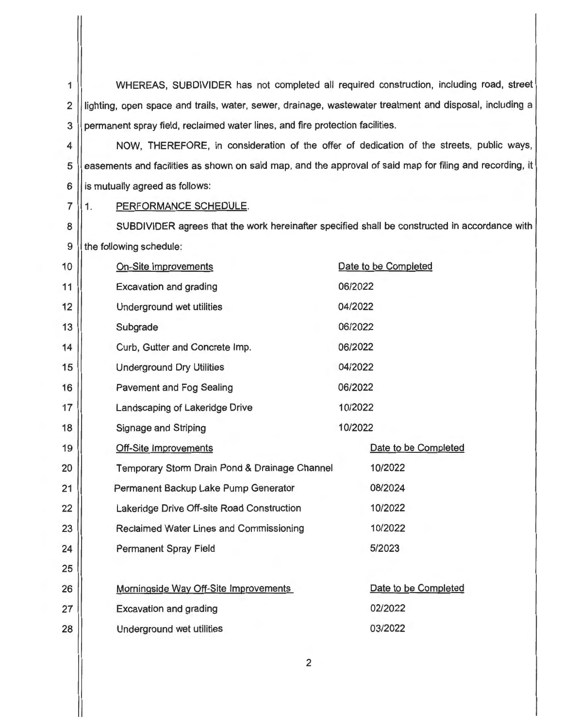1 | WHEREAS, SUBDIVIDER has not completed all required construction, including road, street 2 | lighting, open space and trails, water, sewer, drainage, wastewater treatment and disposal, including a 3 | permanent spray field, reclaimed water lines, and fire protection facilities.

4 NOW, THEREFORE, in consideration of the offer of dedication of the streets, public ways, 5 | easements and facilities as shown on said map, and the approval of said map for filing and recording, it  $6$  is mutually agreed as follows:

7 | 1. PERFORMANCE SCHEDULE.

8 | SUBDIVIDER agrees that the work hereinafter specified shall be constructed in accordance with 9 || the following schedule:

| 10 | <b>On-Site Improvements</b>                    | Date to be Completed |
|----|------------------------------------------------|----------------------|
| 11 | <b>Excavation and grading</b>                  | 06/2022              |
| 12 | Underground wet utilities                      | 04/2022              |
| 13 | Subgrade                                       | 06/2022              |
| 14 | Curb, Gutter and Concrete Imp.                 | 06/2022              |
| 15 | <b>Underground Dry Utilities</b>               | 04/2022              |
| 16 | Pavement and Fog Sealing                       | 06/2022              |
| 17 | Landscaping of Lakeridge Drive                 | 10/2022              |
| 18 | <b>Signage and Striping</b>                    | 10/2022              |
| 19 | <b>Off-Site Improvements</b>                   | Date to be Completed |
| 20 | Temporary Storm Drain Pond & Drainage Channel  | 10/2022              |
| 21 | Permanent Backup Lake Pump Generator           | 08/2024              |
| 22 | Lakeridge Drive Off-site Road Construction     | 10/2022              |
| 23 | <b>Reclaimed Water Lines and Commissioning</b> | 10/2022              |
| 24 | <b>Permanent Spray Field</b>                   | 5/2023               |
| 25 |                                                |                      |
| 26 | Morningside Way Off-Site Improvements          | Date to be Completed |
| 27 | <b>Excavation and grading</b>                  | 02/2022              |
| 28 | Underground wet utilities                      | 03/2022              |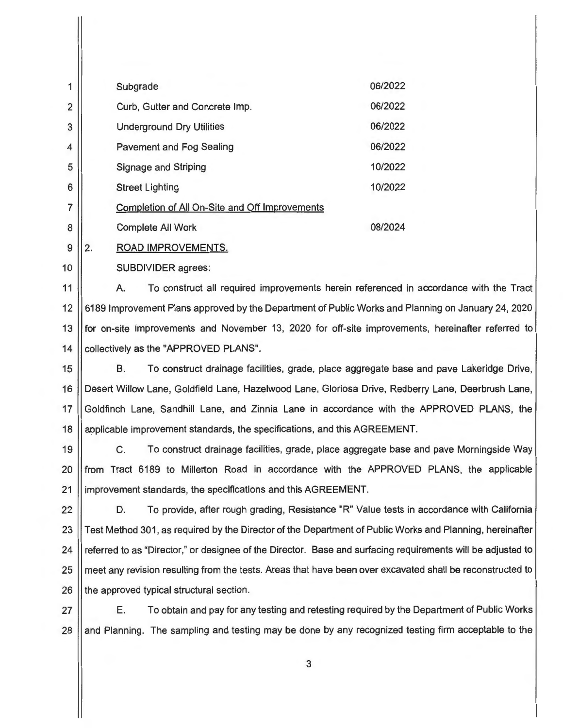|                | Subgrade                                       | 06/2022 |
|----------------|------------------------------------------------|---------|
| $\overline{2}$ | Curb, Gutter and Concrete Imp.                 | 06/2022 |
| 3              | <b>Underground Dry Utilities</b>               | 06/2022 |
| 4              | <b>Pavement and Fog Sealing</b>                | 06/2022 |
| 5              | <b>Signage and Striping</b>                    | 10/2022 |
| 6              | <b>Street Lighting</b>                         | 10/2022 |
|                | Completion of All On-Site and Off Improvements |         |
| 8              | <b>Complete All Work</b>                       | 08/2024 |
|                |                                                |         |

 $9||2.$ ROAD IMPROVEMENTS.

10 | SUBDIVIDER agrees:

11 | A. To construct all required improvements herein referenced in accordance with the Tract 12 6189 Improvement Plans approved by the Department of Public Works and Planning on January 24, 2020 13 for on-site improvements and November 13, 2020 for off-site improvements, hereinafter referred to 14 | collectively as the "APPROVED PLANS".

15 B. To construct drainage facilities, grade, place aggregate base and pave Lakeridge Drive, 16 || Desert Willow Lane, Goldfield Lane, Hazelwood Lane, Gloriosa Drive, Redberry Lane, Deerbrush Lane, 17 Goldfinch Lane, Sandhill Lane, and Zinnia Lane in accordance with the APPROVED PLANS, the 18 | applicable improvement standards, the specifications, and this AGREEMENT.

19 C. To construct drainage facilities , grade, place aggregate base and pave Morningside Way 20 from Tract 6189 to Millerton Road in accordance with the APPROVED PLANS, the applicable 21 | improvement standards, the specifications and this AGREEMENT.

22 | D. To provide, after rough grading, Resistance "R" Value tests in accordance with California 23 Test Method 301, as required by the Director of the Department of Public Works and Planning, hereinafter 24 referred to as "Director," or designee of the Director. Base and surfacing requirements will be adjusted to 25 || meet any revision resulting from the tests. Areas that have been over excavated shall be reconstructed to 26 **the approved typical structural section.** 

27 E. To obtain and pay for any testing and retesting required by the Department of Public Works 28 and Planning. The sampling and testing may be done by any recognized testing firm acceptable to the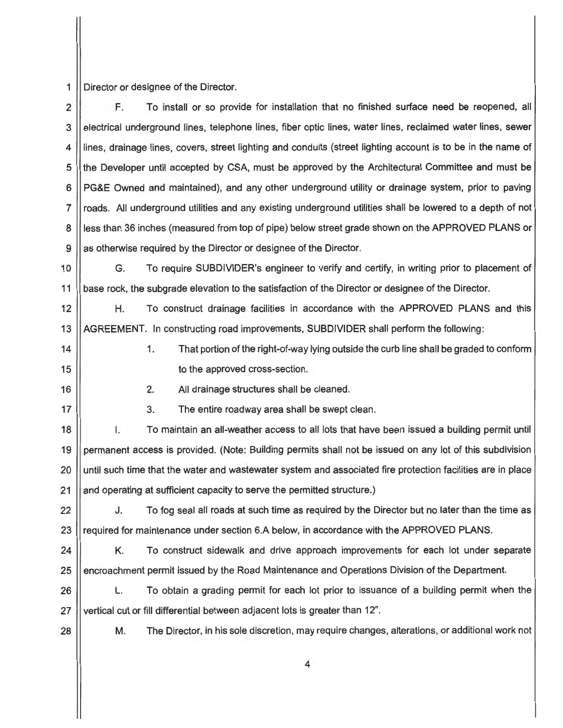1 Director or designee of the Director.

2 | F. To install or so provide for installation that no finished surface need be reopened, all 3 electrical underground lines, telephone lines, fiber optic lines, water lines, reclaimed water lines, sewer 4 | lines, drainage lines, covers, street lighting and conduits (street lighting account is to be in the name of 5 I the Developer until accepted by CSA, must be approved by the Architectural Committee and must be 6 PG&E Owned and maintained), and any other underground utility or drainage system, prior to paving 7 || roads. All underground utilities and any existing underground utilities shall be lowered to a depth of not 8 **less** than 36 inches (measured from top of pipe) below street grade shown on the APPROVED PLANS or 9 as otherwise required by the Director or designee of the Director.

10 G. To require SUBDIVIDER's engineer to verify and certify, in writing prior to placement of 11 **base rock, the subgrade elevation to the satisfaction of the Director or designee of the Director.** 

12 H. To construct drainage facilities in accordance with the APPROVED PLANS and this 13 AGREEMENT. In constructing road improvements, SUBDIVIDER shall perform the following:

14 | 1. That portion of the right-of-way lying outside the curb line shall be graded to conform 15 | to the approved cross-section.

16

2. All drainage structures shall be cleaned.

17

3. The entire roadway area shall be swept clean.

18 19 20 21 I. To maintain an all-weather access to all lots that have been issued a building permit until permanent access is provided. (Note: Building permits shall not be issued on any lot of this subdivision until such time that the water and wastewater system and associated fire protection facilities are in place and operating at sufficient capacity to serve the permitted structure.)

22 23 J. To fog seal all roads at such time as required by the Director but no later than the time as required for maintenance under section 6.A below, in accordance with the APPROVED PLANS.

24 25 K. To construct sidewalk and drive approach improvements for each lot under separate encroachment permit issued by the Road Maintenance and Operations Division of the Department.

26 27 L. To obtain a grading permit for each lot prior to issuance of a building permit when the vertical cut or fill differential between adjacent lots is greater than 12".

28

M. The Director, in his sole discretion, may require changes, alterations, or additional work not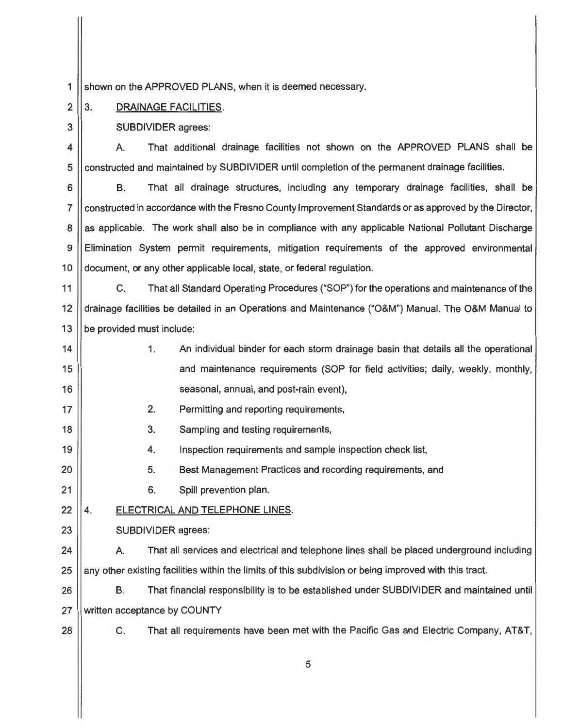1 Shown on the APPROVED PLANS, when it is deemed necessary.

# $2 \parallel 3$ . DRAINAGE FACILITIES.

3 | SUBDIVIDER agrees:

4 | A. That additional drainage facilities not shown on the APPROVED PLANS shall be 5 Constructed and maintained by SUBDIVIDER until completion of the permanent drainage facilities.

6 **B.** That all drainage structures, including any temporary drainage facilities, shall be 7 | constructed in accordance with the Fresno County Improvement Standards or as approved by the Director, 8 as applicable. The work shall also be in compliance with any applicable National Pollutant Discharge 9 Elimination System permit requirements, mitigation requirements of the approved environmental 10 | document, or any other applicable local, state, or federal regulation.

11 | C. That all Standard Operating Procedures ("SOP") for the operations and maintenance of the 12 drainage facilities be detailed in an Operations and Maintenance ("O&M") Manual. The O&M Manual to 13 || be provided must include:

14 | 1. An individual binder for each storm drainage basin that details all the operational 15 | and maintenance requirements (SOP for field activities; daily, weekly, monthly, 16 | seasonal, annual, and post-rain event),

2. Permitting and reporting requirements,

- 3. Sampling and testing requirements,
- 19 4. Inspection requirements and sample inspection check list,

5. Best Management Practices and recording requirements, and

- 6. Spill prevention plan.
- $22$   $|$  4. ELECTRICAL AND TELEPHONE LINES.

23 | SUBDIVIDER agrees:

- 24 | A. That all services and electrical and telephone lines shall be placed underground including 25 | any other existing facilities within the limits of this subdivision or being improved with this tract.
- 26 | B. That financial responsibility is to be established under SUBDIVIDER and maintained until 27 Written acceptance by COUNTY
- 28 C. That all requirements have been met with the Pacific Gas and Electric Company, AT&T,

17

18

20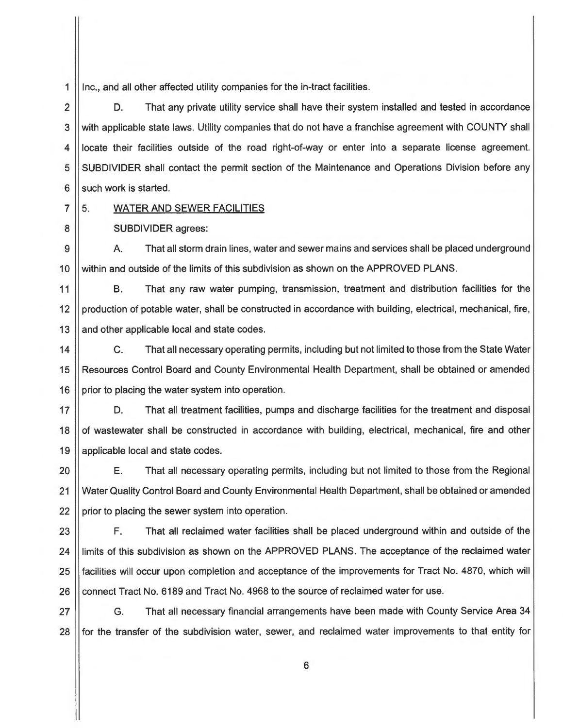1 | Inc., and all other affected utility companies for the in-tract facilities.

2  $\vert$  D. That any private utility service shall have their system installed and tested in accordance 3 | with applicable state laws. Utility companies that do not have a franchise agreement with COUNTY shall 4 | locate their facilities outside of the road right-of-way or enter into a separate license agreement. 5 SUBDIVIDER shall contact the permit section of the Maintenance and Operations Division before any  $6$  such work is started.

8

# $7 \parallel 5$ . WATER AND SEWER FACILITIES

## SUBDIVIDER agrees:

9 10 A. That all storm drain lines, water and sewer mains and services shall be placed underground within and outside of the limits of this subdivision as shown on the APPROVED PLANS.

11 12 13 B. That any raw water pumping, transmission, treatment and distribution facilities for the production of potable water, shall be constructed in accordance with building, electrical, mechanical, fire, and other applicable local and state codes.

14 15 16 C. That all necessary operating permits, including but not limited to those from the State Water Resources Control Board and County Environmental Health Department, shall be obtained or amended prior to placing the water system into operation.

17 18 19 D. That all treatment facilities, pumps and discharge facilities for the treatment and disposal of wastewater shall be constructed in accordance with building, electrical, mechanical, fire and other applicable local and state codes.

20 21 22 E. That all necessary operating permits, including but not limited to those from the Regional Water Quality Control Board and County Environmental Health Department, shall be obtained or amended prior to placing the sewer system into operation.

23 24 25 26 F. That all reclaimed water facilities shall be placed underground within and outside of the limits of this subdivision as shown on the APPROVED PLANS. The acceptance of the reclaimed water facilities will occur upon completion and acceptance of the improvements for Tract No. 4870, which will connect Tract No. 6189 and Tract No. 4968 to the source of reclaimed water for use.

27 28 G. That all necessary financial arrangements have been made with County Service Area 34 for the transfer of the subdivision water, sewer, and reclaimed water improvements to that entity for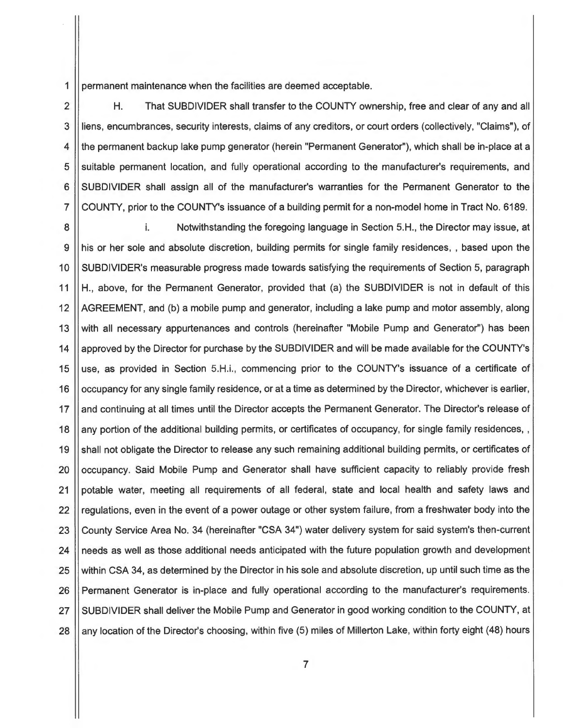1 | permanent maintenance when the facilities are deemed acceptable.

2 | H. That SUBDIVIDER shall transfer to the COUNTY ownership, free and clear of any and all 3 liens, encumbrances, security interests, claims of any creditors, or court orders (collectively, "Claims"), of 4 the permanent backup lake pump generator (herein "Permanent Generator"), which shall be in-place at a 5 Suitable permanent location, and fully operational according to the manufacturer's requirements, and 6 SUBDIVIDER shall assign all of the manufacturer's warranties for the Permanent Generator to the 7 COUNTY, prior to the COUNTY's issuance of a building permit for a non-model home in Tract No. 6189.

8 | i. Notwithstanding the foregoing language in Section 5.H., the Director may issue, at 9 his or her sole and absolute discretion, building permits for single family residences, , based upon the 10 SUBDIVIDER's measurable progress made towards satisfying the requirements of Section 5, paragraph 11 ||H., above, for the Permanent Generator, provided that (a) the SUBDIVIDER is not in default of this 12 AGREEMENT, and (b) a mobile pump and generator, including a lake pump and motor assembly, along 13 With all necessary appurtenances and controls (hereinafter "Mobile Pump and Generator") has been 14 | approved by the Director for purchase by the SUBDIVIDER and will be made available for the COUNTY's 15 | use, as provided in Section 5.H.i., commencing prior to the COUNTY's issuance of a certificate of 16 Cocupancy for any single family residence, or at a time as determined by the Director, whichever is earlier, 17 and continuing at all times until the Director accepts the Permanent Generator. The Director's release of 18 any portion of the additional building permits, or certificates of occupancy, for single family residences, 19 Shall not obligate the Director to release any such remaining additional building permits, or certificates of 20 Cocupancy. Said Mobile Pump and Generator shall have sufficient capacity to reliably provide fresh 21 | potable water, meeting all requirements of all federal, state and local health and safety laws and 22 | regulations, even in the event of a power outage or other system failure, from a freshwater body into the 23 County Service Area No. 34 (hereinafter "CSA 34") water delivery system for said system's then-current 24 || needs as well as those additional needs anticipated with the future population growth and development 25 Within CSA 34, as determined by the Director in his sole and absolute discretion, up until such time as the 26 Permanent Generator is in-place and fully operational according to the manufacturer's requirements. 27 | SUBDIVIDER shall deliver the Mobile Pump and Generator in good working condition to the COUNTY, at 28 any location of the Director's choosing, within five (5) miles of Millerton Lake, within forty eight (48) hours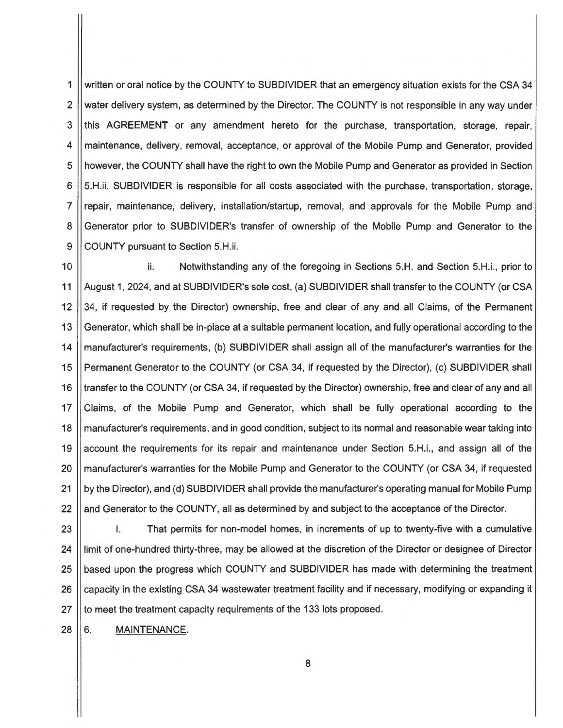1 written or oral notice by the COUNTY to SUBDIVIDER that an emergency situation exists for the CSA 34 2 Water delivery system, as determined by the Director. The COUNTY is not responsible in any way under 3 || this AGREEMENT or any amendment hereto for the purchase, transportation, storage, repair, 4 | maintenance, delivery, removal, acceptance, or approval of the Mobile Pump and Generator, provided 5 || however, the COUNTY shall have the right to own the Mobile Pump and Generator as provided in Section 6 5.H.ii. SUBDIVIDER is responsible for all costs associated with the purchase, transportation, storage, 7 I repair, maintenance, delivery, installation/startup, removal, and approvals for the Mobile Pump and 8 || Generator prior to SUBDIVIDER's transfer of ownership of the Mobile Pump and Generator to the 9 COUNTY pursuant to Section 5.H.ii.

10 ii. Notwithstanding any of the foregoing in Sections 5.H. and Section 5.H.i., prior to 11 || August 1, 2024, and at SUBDIVIDER's sole cost, (a) SUBDIVIDER shall transfer to the COUNTY (or CSA 12 | 34, if requested by the Director) ownership, free and clear of any and all Claims, of the Permanent 13 Generator, which shall be in-place at a suitable permanent location, and fully operational according to the 14 | manufacturer's requirements, (b) SUBDIVIDER shall assign all of the manufacturer's warranties for the 15 || Permanent Generator to the COUNTY (or CSA 34, if requested by the Director), (c) SUBDIVIDER shall 16 I transfer to the COUNTY (or CSA 34, if requested by the Director) ownership, free and clear of any and all 17 Claims, of the Mobile Pump and Generator, which shall be fully operational according to the 18 | manufacturer's requirements, and in good condition, subject to its normal and reasonable wear taking into 19 account the requirements for its repair and maintenance under Section 5.H.i., and assign all of the 20 || manufacturer's warranties for the Mobile Pump and Generator to the COUNTY (or CSA 34, if requested 21 by the Director), and (d) SUBDIVIDER shall provide the manufacturer's operating manual for Mobile Pump 22 and Generator to the COUNTY, all as determined by and subject to the acceptance of the Director.

23 I. That permits for non-model homes, in increments of up to twenty-five with a cumulative 24 limit of one-hundred thirty-three, may be allowed at the discretion of the Director or designee of Director 25 **b** based upon the progress which COUNTY and SUBDIVIDER has made with determining the treatment 26 capacity in the existing CSA 34 wastewater treatment facility and if necessary, modifying or expanding it  $27$  I to meet the treatment capacity requirements of the 133 lots proposed.

28 6. MAINTENANCE.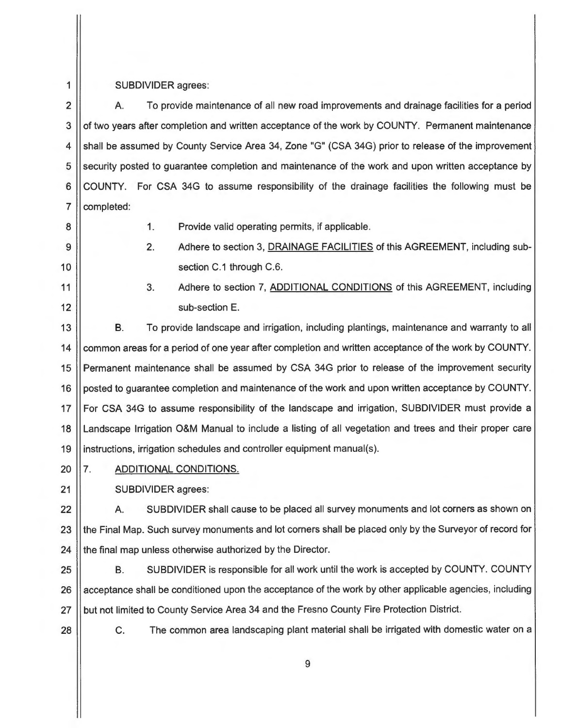# SUBDIVIDER agrees:

2 A. To provide maintenance of all new road improvements and drainage facilities for a period 3 | of two years after completion and written acceptance of the work by COUNTY. Permanent maintenance 4 Shall be assumed by County Service Area 34, Zone "G" (CSA 34G) prior to release of the improvement 5 Security posted to guarantee completion and maintenance of the work and upon written acceptance by 6 COUNTY. For CSA 34G to assume responsibility of the drainage facilities the following must be 7 | completed:

8

1

9

1. Provide valid operating permits, if applicable.

10

11

12

2. Adhere to section 3, DRAINAGE FACILITIES of this AGREEMENT, including subsection C.1 through C.6.

3. Adhere to section 7, ADDITIONAL CONDITIONS of this AGREEMENT, including sub-section E.

13 B. To provide landscape and irrigation, including plantings, maintenance and warranty to all 14 Common areas for a period of one year after completion and written acceptance of the work by COUNTY. 15 | Permanent maintenance shall be assumed by CSA 34G prior to release of the improvement security 16 | posted to guarantee completion and maintenance of the work and upon written acceptance by COUNTY. 17 For CSA 34G to assume responsibility of the landscape and irrigation, SUBDIVIDER must provide a 18 Landscape Irrigation O&M Manual to include a listing of all vegetation and trees and their proper care 19 instructions, irrigation schedules and controller equipment manual(s).

 $20$  || 7. ADDITIONAL CONDITIONS.

# SUBDIVIDER agrees:

22 A. SUBDIVIDER shall cause to be placed all survey monuments and lot corners as shown on 23 || the Final Map. Such survey monuments and lot corners shall be placed only by the Surveyor of record for  $24$   $\parallel$  the final map unless otherwise authorized by the Director.

25 | B. SUBDIVIDER is responsible for all work until the work is accepted by COUNTY. COUNTY 26 | acceptance shall be conditioned upon the acceptance of the work by other applicable agencies, including 27 | but not limited to County Service Area 34 and the Fresno County Fire Protection District.

21

**28 C.** The common area landscaping plant material shall be irrigated with domestic water on a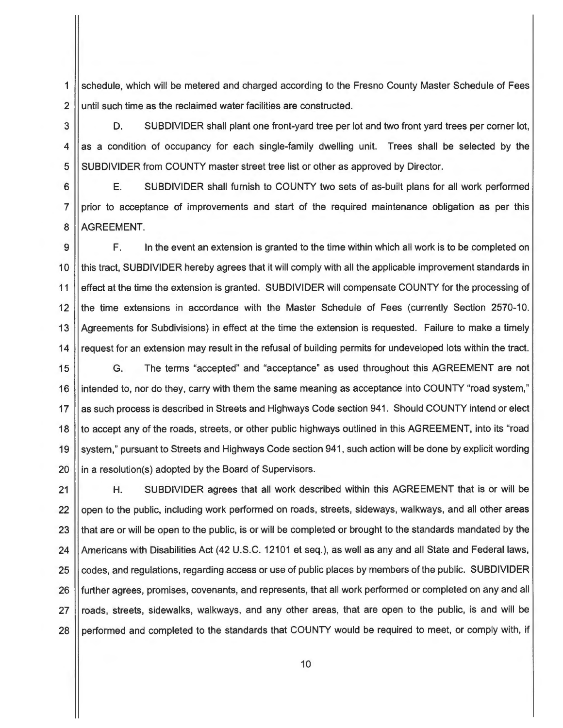1 Schedule, which will be metered and charged according to the Fresno County Master Schedule of Fees 2 | until such time as the reclaimed water facilities are constructed.

3 D. SUBDIVIDER shall plant one front-yard tree per lot and two front yard trees per corner lot,  $4$   $\parallel$  as a condition of occupancy for each single-family dwelling unit. Trees shall be selected by the 5 SUBDIVIDER from COUNTY master street tree list or other as approved by Director.

6 E. SUBDIVIDER shall furnish to COUNTY two sets of as-built plans for all work performed 7 || prior to acceptance of improvements and start of the required maintenance obligation as per this 8 | AGREEMENT.

9  $\vert$  F. In the event an extension is granted to the time within which all work is to be completed on 10 || this tract, SUBDIVIDER hereby agrees that it will comply with all the applicable improvement standards in 11 | effect at the time the extension is granted. SUBDIVIDER will compensate COUNTY for the processing of 12 the time extensions in accordance with the Master Schedule of Fees (currently Section 2570-10. 13 Agreements for Subdivisions) in effect at the time the extension is requested. Failure to make a timely 14 | request for an extension may result in the refusal of building permits for undeveloped lots within the tract.

15 G. The terms "accepted" and "acceptance" as used throughout this AGREEMENT are not 16 intended to, nor do they, carry with them the same meaning as acceptance into COUNTY "road system," 17 | as such process is described in Streets and Highways Code section 941. Should COUNTY intend or elect 18 to accept any of the roads, streets, or other public highways outlined in this AGREEMENT, into its "road" 19 System," pursuant to Streets and Highways Code section 941, such action will be done by explicit wording  $20$  || in a resolution(s) adopted by the Board of Supervisors.

21 | H. SUBDIVIDER agrees that all work described within this AGREEMENT that is or will be 22 | open to the public, including work performed on roads, streets, sideways, walkways, and all other areas 23 I that are or will be open to the public, is or will be completed or brought to the standards mandated by the 24 Americans with Disabilities Act (42 U.S.C. 12101 et seq.), as well as any and all State and Federal laws, 25 codes, and regulations, regarding access or use of public places by members of the public. SUBDIVIDER 26 for the ragrees, promises, covenants, and represents, that all work performed or completed on any and all 27 | roads, streets, sidewalks, walkways, and any other areas, that are open to the public, is and will be 28 | performed and completed to the standards that COUNTY would be required to meet, or comply with, if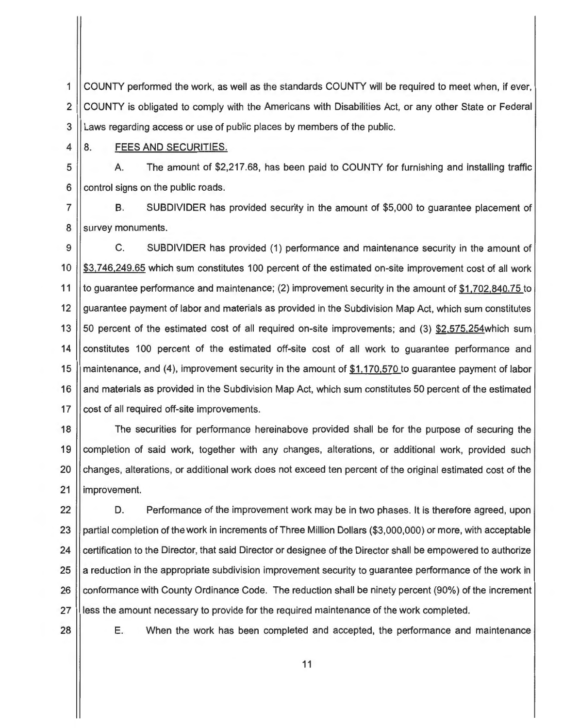1 2 3 COUNTY performed the work, as well as the standards COUNTY will be required to meet when , if ever, COUNTY is obligated to comply with the Americans with Disabilities Act, or any other State or Federal Laws regarding access or use of public places by members of the public.

8. FEES AND SECURITIES.

4

5 6 A. The amount of \$2,217.68, has been paid to COUNTY for furnishing and installing traffic control signs on the public roads.

7 8 B. SUBDIVIDER has provided security in the amount of \$5,000 to guarantee placement of survey monuments.

9 10 11 12 13 14 15 16 17 C. SUBDIVIDER has provided (1) performance and maintenance security in the amount of \$3,746,249.65 which sum constitutes 100 percent of the estimated on-site improvement cost of all work to guarantee performance and maintenance; (2) improvement security in the amount of \$1,702,840.75 to guarantee payment of labor and materials as provided in the Subdivision Map Act, which sum constitutes 50 percent of the estimated cost of all required on-site improvements; and (3) \$2,575,254which sum constitutes 100 percent of the estimated off-site cost of all work to guarantee performance and maintenance, and (4), improvement security in the amount of \$1,170,570 to guarantee payment of labor and materials as provided in the Subdivision Map Act, which sum constitutes 50 percent of the estimated cost of all required off-site improvements.

18 19 20 21 The securities for performance hereinabove provided shall be for the purpose of securing the completion of said work, together with any changes, alterations, or additional work, provided such changes, alterations, or additional work does not exceed ten percent of the original estimated cost of the improvement.

22 23 24 25 26 27 D. Performance of the improvement work may be in two phases. It is therefore agreed, upon partial completion of the work in increments of Three Million Dollars (\$3,000,000) or more, with acceptable certification to the Director, that said Director or designee of the Director shall be empowered to authorize a reduction in the appropriate subdivision improvement security to guarantee performance of the work in conformance with County Ordinance Code. The reduction shall be ninety percent (90%) of the increment less the amount necessary to provide for the required maintenance of the work completed.

28

E. When the work has been completed and accepted, the performance and maintenance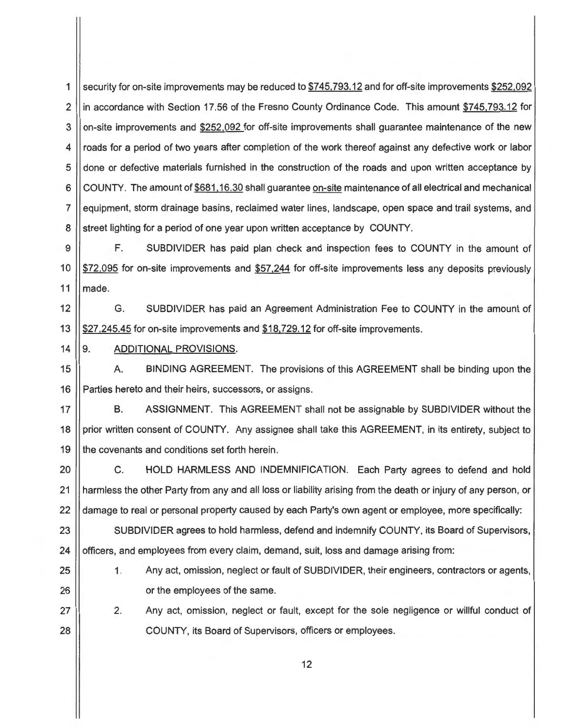1 Security for on-site improvements may be reduced to \$745,793.12 and for off-site improvements \$252,092 2 | in accordance with Section 17.56 of the Fresno County Ordinance Code. This amount \$745,793.12 for  $3$  ||on-site improvements and \$252,092 for off-site improvements shall guarantee maintenance of the new 4 | roads for a period of two years after completion of the work thereof against any defective work or labor 5 done or defective materials furnished in the construction of the roads and upon written acceptance by 6 COUNTY. The amount of \$681, 16.30 shall guarantee on-site maintenance of all electrical and mechanical 7 equipment, storm drainage basins, reclaimed water lines, landscape, open space and trail systems, and 8 Suite is ignorportion of one year upon written acceptance by COUNTY.

9 | F. SUBDIVIDER has paid plan check and inspection fees to COUNTY in the amount of 10  $\frac{1}{372,095}$  for on-site improvements and \$57,244 for off-site improvements less any deposits previously 11  $\parallel$  made.

12 G. SUBDIVIDER has paid an Agreement Administration Fee to COUNTY in the amount of 13  $\frac{1}{2}$  \$27,245.45 for on-site improvements and \$18,729.12 for off-site improvements.

14 9. ADDITIONAL PROVISIONS.

15 | A. BINDING AGREEMENT. The provisions of this AGREEMENT shall be binding upon the 16 | Parties hereto and their heirs, successors, or assigns.

17 B. ASSIGNMENT. This AGREEMENT shall not be assignable by SUBDIVIDER without the 18 | prior written consent of COUNTY. Any assignee shall take this AGREEMENT, in its entirety, subject to 19 I the covenants and conditions set forth herein.

20 C. HOLD HARMLESS AND INDEMNIFICATION. Each Party agrees to defend and hold 21 A armiess the other Party from any and all loss or liability arising from the death or injury of any person, or 22 | damage to real or personal property caused by each Party's own agent or employee, more specifically:

23 | SUBDIVIDER agrees to hold harmless, defend and indemnify COUNTY, its Board of Supervisors, 24 | officers, and employees from every claim, demand, suit, loss and damage arising from:

25  $\vert$  1. Any act, omission, neglect or fault of SUBDIVIDER, their engineers, contractors or agents, 26 | contract or the employees of the same.

27 28 2. Any act, omission, neglect or fault, except for the sole negligence or willful conduct of COUNTY, its Board of Supervisors, officers or employees.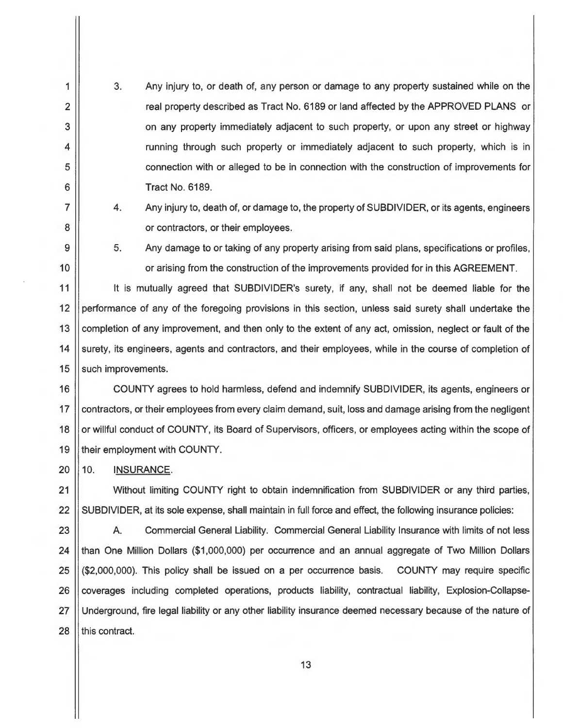3. Any injury to, or death of, any person or damage to any property sustained while on the real property described as Tract No. 6189 or land affected by the APPROVED PLANS or on any property immediately adjacent to such property, or upon any street or highway running through such property or immediately adjacent to such property, which is in connection with or alleged to be in connection with the construction of improvements for Tract No. 6189.

4. Any injury to, death of, or damage to, the property of SUBDIVIDER, or its agents, engineers or contractors, or their employees.

5. Any damage to or taking of any property arising from said plans, specifications or profiles, 10 | or arising from the construction of the improvements provided for in this AGREEMENT.

11 | It is mutually agreed that SUBDIVIDER's surety, if any, shall not be deemed liable for the 12 performance of any of the foregoing provisions in this section, unless said surety shall undertake the 13 | completion of any improvement, and then only to the extent of any act, omission, neglect or fault of the 14 Surety, its engineers, agents and contractors, and their employees, while in the course of completion of 15 | such improvements.

16 | COUNTY agrees to hold harmless, defend and indemnify SUBDIVIDER, its agents, engineers or 17 | contractors, or their employees from every claim demand, suit, loss and damage arising from the negligent 18 | or willful conduct of COUNTY, its Board of Supervisors, officers, or employees acting within the scope of 19 || their employment with COUNTY.

20 || 10. **INSURANCE.** 

1

2

3

4

5

6

7

8

9

21 Without limiting COUNTY right to obtain indemnification from SUBDIVIDER or any third parties, 22 SUBDIVIDER, at its sole expense, shall maintain in full force and effect, the following insurance policies:

23 | A. Commercial General Liability. Commercial General Liability Insurance with limits of not less 24 Than One Million Dollars (\$1,000,000) per occurrence and an annual aggregate of Two Million Dollars 25 ( $\frac{1}{25}$  (\$2,000,000). This policy shall be issued on a per occurrence basis. COUNTY may require specific 26 Coverages including completed operations, products liability, contractual liability, Explosion-Collapse-27 Underground, fire legal liability or any other liability insurance deemed necessary because of the nature of  $28$  || this contract.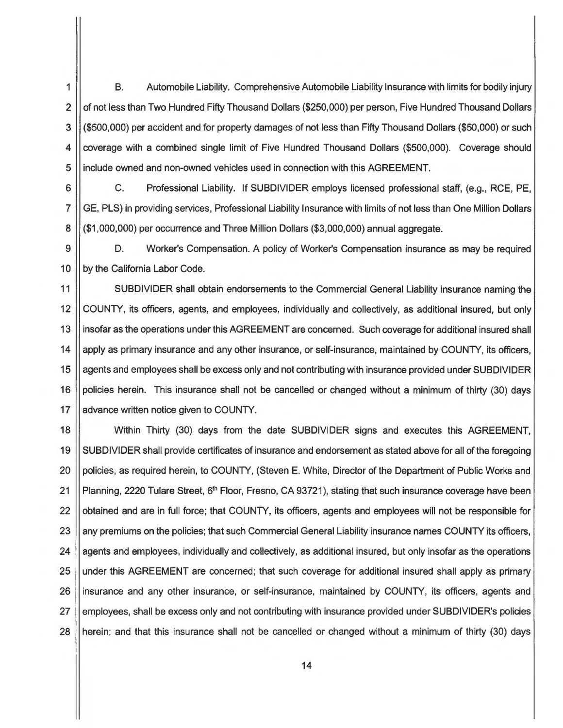1 B. Automobile Liability. Comprehensive Automobile Liability Insurance with limits for bodily injury 2 | of not less than Two Hundred Fifty Thousand Dollars (\$250,000) per person, Five Hundred Thousand Dollars 3 (\$500,000) per accident and for property damages of not less than Fifty Thousand Dollars (\$50,000) or such 4 Coverage with a combined single limit of Five Hundred Thousand Dollars (\$500,000). Coverage should 5 | include owned and non-owned vehicles used in connection with this AGREEMENT.

6 C. Professional Liability. If SUBDIVIDER employs licensed professional staff, (e.g., RCE, PE, 7 GE, PLS) in providing services, Professional Liability Insurance with limits of not less than One Million Dollars 8 (\$1,000,000) per occurrence and Three Million Dollars (\$3,000,000) annual aggregate.

9 | D. Worker's Compensation. A policy of Worker's Compensation insurance as may be required 10 | by the California Labor Code.

11 SUBDIVIDER shall obtain endorsements to the Commercial General Liability insurance naming the 12 COUNTY, its officers, agents, and employees, individually and collectively, as additional insured, but only 13 | insofar as the operations under this AGREEMENT are concerned. Such coverage for additional insured shall 14 apply as primary insurance and any other insurance, or self-insurance, maintained by COUNTY, its officers, 15 | agents and employees shall be excess only and not contributing with insurance provided under SUBDIVIDER 16 | policies herein. This insurance shall not be cancelled or changed without a minimum of thirty (30) days 17 | advance written notice given to COUNTY.

18 Within Thirty (30) days from the date SUBDIVIDER signs and executes this AGREEMENT, 19 SUBDIVIDER shall provide certificates of insurance and endorsement as stated above for all of the foregoing 20 | policies, as required herein, to COUNTY, (Steven E. White, Director of the Department of Public Works and 21 | Planning, 2220 Tulare Street,  $6<sup>th</sup>$  Floor, Fresno, CA 93721), stating that such insurance coverage have been 22 | obtained and are in full force; that COUNTY, its officers, agents and employees will not be responsible for 23 | any premiums on the policies; that such Commercial General Liability insurance names COUNTY its officers, 24 agents and employees, individually and collectively, as additional insured, but only insofar as the operations 25 under this AGREEMENT are concerned; that such coverage for additional insured shall apply as primary 26 | insurance and any other insurance, or self-insurance, maintained by COUNTY, its officers, agents and 27 employees, shall be excess only and not contributing with insurance provided under SUBDIVIDER's policies 28 Herein; and that this insurance shall not be cancelled or changed without a minimum of thirty (30) days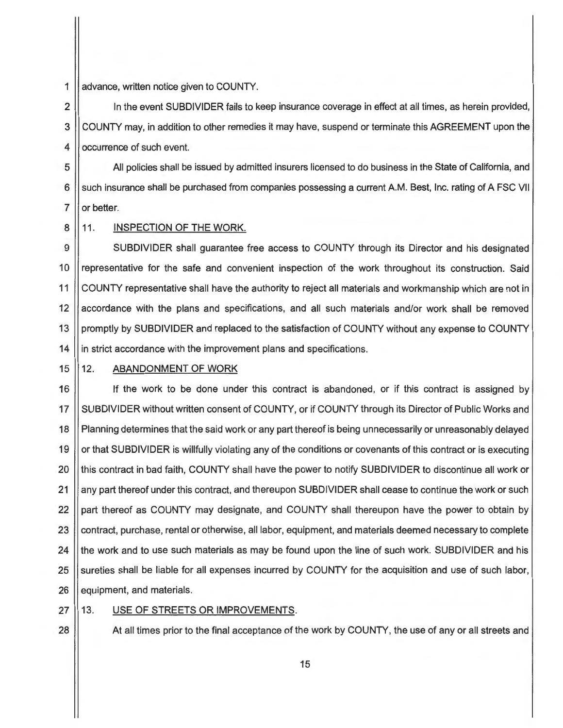1

advance, written notice given to COUNTY.

2 3 4 In the event SUBDIVIDER fails to keep insurance coverage in effect at all times, as herein provided, COUNTY may, in addition to other remedies it may have, suspend or terminate this AGREEMENT upon the occurrence of such event.

5 6 7 All policies shall be issued by admitted insurers licensed to do business in the State of California, and such insurance shall be purchased from companies possessing a current A.M. Best, Inc. rating of A FSC VII or better.

8

## 11. **INSPECTION OF THE WORK.**

9 10 11 12 13 14 SUBDIVIDER shall guarantee free access to COUNTY through its Director and his designated representative for the safe and convenient inspection of the work throughout its construction. Said COUNTY representative shall have the authority to reject all materials and workmanship which are not in accordance with the plans and specifications, and all such materials and/or work shall be removed promptly by SUBDIVIDER and replaced to the satisfaction of COUNTY without any expense to COUNTY in strict accordance with the improvement plans and specifications.

15

### 12. ABANDONMENT OF WORK

16 17 18 19 20 21 22 23 24 25 26 If the work to be done under this contract is abandoned, or if this contract is assigned by SUBDIVIDER without written consent of COUNTY, or if COUNTY through its Director of Public Works and Planning determines that the said work or any part thereof is being unnecessarily or unreasonably delayed or that SUBDIVIDER is willfully violating any of the conditions or covenants of this contract or is executing this contract in bad faith, COUNTY shall have the power to notify SUBDIVIDER to discontinue all work or any part thereof under this contract, and thereupon SUBDIVIDER shall cease to continue the work or such part thereof as COUNTY may designate, and COUNTY shall thereupon have the power to obtain by contract, purchase, rental or otherwise, all labor, equipment, and materials deemed necessary to complete the work and to use such materials as may be found upon the line of such work. SUBDIVIDER and his sureties shall be liable for all expenses incurred by COUNTY for the acquisition and use of such labor, equipment, and materials.

27 28

#### 13. USE OF STREETS OR IMPROVEMENTS.

At all times prior to the final acceptance of the work by COUNTY, the use of any or all streets and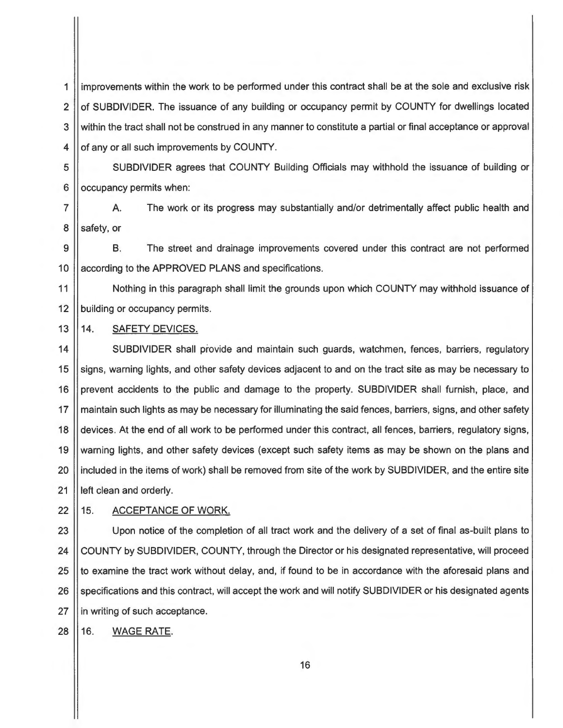1 2 3 4 improvements within the work to be performed under this contract shall be at the sole and exclusive risk of SUBDIVIDER. The issuance of any building or occupancy permit by COUNTY for dwellings located within the tract shall not be construed in any manner to constitute a partial or final acceptance or approval of any or all such improvements by COUNTY.

SUBDIVIDER agrees that COUNTY Building Officials may withhold the issuance of building or occupancy permits when:

7 8 A. The work or its progress may substantially and/or detrimentally affect public health and safety, or

9 10 B. The street and drainage improvements covered under this contract are not performed according to the APPROVED PLANS and specifications.

11 12 Nothing in this paragraph shall limit the grounds upon which COUNTY may withhold issuance of building or occupancy permits.

#### 13 14. SAFETY DEVICES.

5

6

14 15 16 17 18 19 20 21 SUBDIVIDER shall provide and maintain such guards, watchmen, fences, barriers, regulatory signs, warning lights, and other safety devices adjacent to and on the tract site as may be necessary to prevent accidents to the public and damage to the property. SUBDIVIDER shall furnish, place, and maintain such lights as may be necessary for illuminating the said fences , barriers, signs, and other safety devices. At the end of all work to be performed under this contract, all fences , barriers, regulatory signs, warning lights, and other safety devices (except such safety items as may be shown on the plans and included in the items of work) shall be removed from site of the work by SUBDIVIDER, and the entire site left clean and orderly.

22 15. ACCEPTANCE OF WORK.

23 24 25 26 27 Upon notice of the completion of all tract work and the delivery of a set of final as-built plans to COUNTY by SUBDIVIDER, COUNTY, through the Director or his designated representative, will proceed to examine the tract work without delay, and, if found to be in accordance with the aforesaid plans and specifications and this contract, will accept the work and will notify SUBDIVIDER or his designated agents in writing of such acceptance.

28 16. WAGE RATE.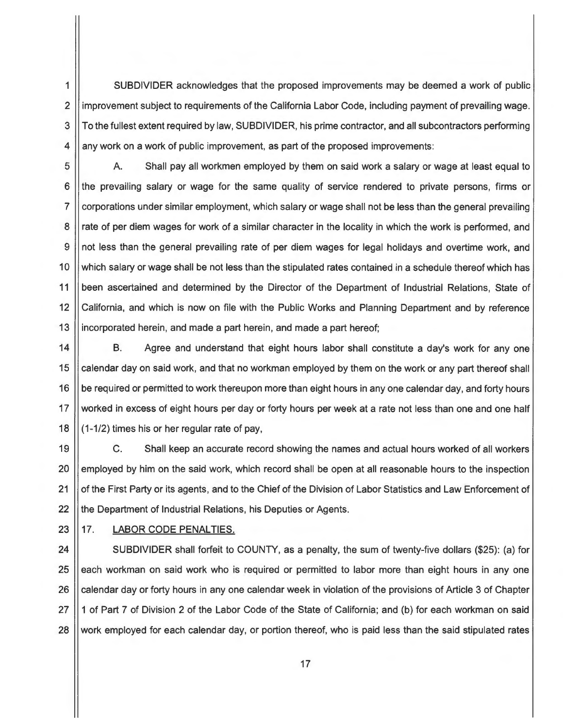1 SUBDIVIDER acknowledges that the proposed improvements may be deemed a work of public 2 | improvement subject to requirements of the California Labor Code, including payment of prevailing wage. 3 To the fullest extent required by law, SUBDIVIDER, his prime contractor, and all subcontractors performing  $4$  | any work on a work of public improvement, as part of the proposed improvements:

5 | A. Shall pay all workmen employed by them on said work a salary or wage at least equal to 6 || the prevailing salary or wage for the same quality of service rendered to private persons, firms or 7 || corporations under similar employment, which salary or wage shall not be less than the general prevailing 8 | rate of per diem wages for work of a similar character in the locality in which the work is performed, and 9 || not less than the general prevailing rate of per diem wages for legal holidays and overtime work, and 10 || which salary or wage shall be not less than the stipulated rates contained in a schedule thereof which has 11 | been ascertained and determined by the Director of the Department of Industrial Relations, State of 12 | California, and which is now on file with the Public Works and Planning Department and by reference 13 incorporated herein, and made a part herein, and made a part hereof;

14 | B. Agree and understand that eight hours labor shall constitute a day's work for any one 15 calendar day on said work, and that no workman employed by them on the work or any part thereof shall 16 | be required or permitted to work thereupon more than eight hours in any one calendar day, and forty hours 17 || worked in excess of eight hours per day or forty hours per week at a rate not less than one and one half 18  $\left| \frac{1}{1-1/2} \right|$  times his or her regular rate of pay,

19 C. Shall keep an accurate record showing the names and actual hours worked of all workers 20 employed by him on the said work, which record shall be open at all reasonable hours to the inspection 21 | of the First Party or its agents, and to the Chief of the Division of Labor Statistics and Law Enforcement of 22 || the Department of Industrial Relations, his Deputies or Agents.

# 23 || 17. LABOR CODE PENALTIES.

24 | SUBDIVIDER shall forfeit to COUNTY, as a penalty, the sum of twenty-five dollars (\$25): (a) for 25 each workman on said work who is required or permitted to labor more than eight hours in any one 26 calendar day or forty hours in any one calendar week in violation of the provisions of Article 3 of Chapter 27 || 1 of Part 7 of Division 2 of the Labor Code of the State of California; and (b) for each workman on said 28 Work employed for each calendar day, or portion thereof, who is paid less than the said stipulated rates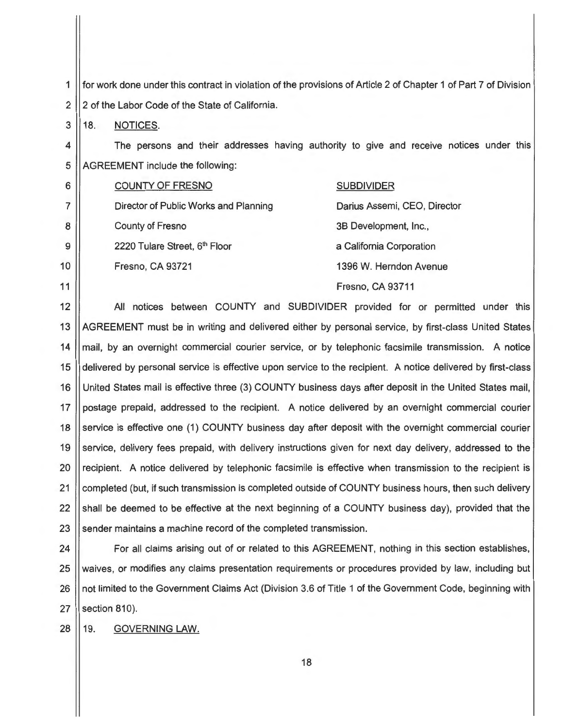1 for work done under this contract in violation of the provisions of Article 2 of Chapter 1 of Part 7 of Division 2 2 2 of the Labor Code of the State of California.

 $3$  || 18. NOTICES.

7

8

9

10

11

4  $\parallel$  The persons and their addresses having authority to give and receive notices under this 5 | AGREEMENT include the following:

| 6 | <b>COUNTY OF FRESNO</b>               | <b>SUBDIVIDER</b>            |
|---|---------------------------------------|------------------------------|
|   | Director of Public Works and Planning | Darius Assemi, CEO, Director |
| 8 | <b>County of Fresno</b>               | 3B Development, Inc.,        |
| 9 | 2220 Tulare Street, 6th Floor         | a California Corporation     |
| 0 | Fresno, CA 93721                      | 1396 W. Herndon Avenue       |
|   |                                       | Fresno, CA 93711             |

12 13 14 15 16 17 18 19 20 21 22 23 All notices between COUNTY and SUBDIVIDER provided for or permitted under this AGREEMENT must be in writing and delivered either by personal service, by first-class United States mail, by an overnight commercial courier service, or by telephonic facsimile transmission. A notice delivered by personal service is effective upon service to the recipient. A notice delivered by first-class United States mail is effective three (3) COUNTY business days after deposit in the United States mail, postage prepaid, addressed to the recipient. A notice delivered by an overnight commercial courier service is effective one (1) COUNTY business day after deposit with the overnight commercial courier service, delivery fees prepaid, with delivery instructions given for next day delivery, addressed to the recipient. A notice delivered by telephonic facsimile is effective when transmission to the recipient is completed (but, if such transmission is completed outside of COUNTY business hours, then such delivery shall be deemed to be effective at the next beginning of a COUNTY business day), provided that the sender maintains a machine record of the completed transmission .

24 25 26 27 For all claims arising out of or related to this AGREEMENT, nothing in this section establishes, waives, or modifies any claims presentation requirements or procedures provided by law, including but not limited to the Government Claims Act (Division 3.6 of Title 1 of the Government Code, beginning with section 810).

28 19. GOVERNING LAW.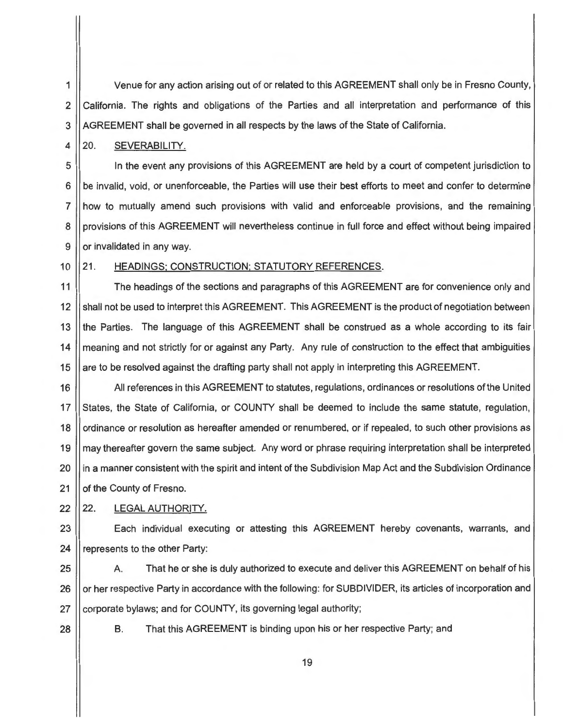1 Venue for any action arising out of or related to this AGREEMENT shall only be in Fresno County, 2 California. The rights and obligations of the Parties and all interpretation and performance of this 3 | AGREEMENT shall be governed in all respects by the laws of the State of California.

4 20. SEVERABILITY.

5 In the event any provisions of this AGREEMENT are held by a court of competent jurisdiction to 6 be invalid, void, or unenforceable, the Parties will use their best efforts to meet and confer to determine 7 how to mutually amend such provisions with valid and enforceable provisions, and the remaining 8 || provisions of this AGREEMENT will nevertheless continue in full force and effect without being impaired 9 or invalidated in any way.

#### 10 21. HEADINGS; CONSTRUCTION; STATUTORY REFERENCES.

11 The headings of the sections and paragraphs of this AGREEMENT are for convenience only and 12 Shall not be used to interpret this AGREEMENT. This AGREEMENT is the product of negotiation between 13 I the Parties. The language of this AGREEMENT shall be construed as a whole according to its fair 14 | meaning and not strictly for or against any Party. Any rule of construction to the effect that ambiguities 15 are to be resolved against the drafting party shall not apply in interpreting this AGREEMENT.

16 All references in this AGREEMENT to statutes, regulations, ordinances or resolutions of the United 17 States, the State of California, or COUNTY shall be deemed to include the same statute, regulation, 18 | ordinance or resolution as hereafter amended or renumbered, or if repealed, to such other provisions as 19 || may thereafter govern the same subject. Any word or phrase requiring interpretation shall be interpreted 20 I in a manner consistent with the spirit and intent of the Subdivision Map Act and the Subdivision Ordinance 21 | of the County of Fresno.

22 22. LEGAL AUTHORITY.

23 **Each individual executing or attesting this AGREEMENT** hereby covenants, warrants, and 24 | represents to the other Party:

25 A. That he or she is duly authorized to execute and deliver this AGREEMENT on behalf of his 26 or her respective Party in accordance with the following: for SUBDIVIDER, its articles of incorporation and  $27$   $\parallel$  corporate bylaws; and for COUNTY, its governing legal authority;

28 **B.** That this AGREEMENT is binding upon his or her respective Party; and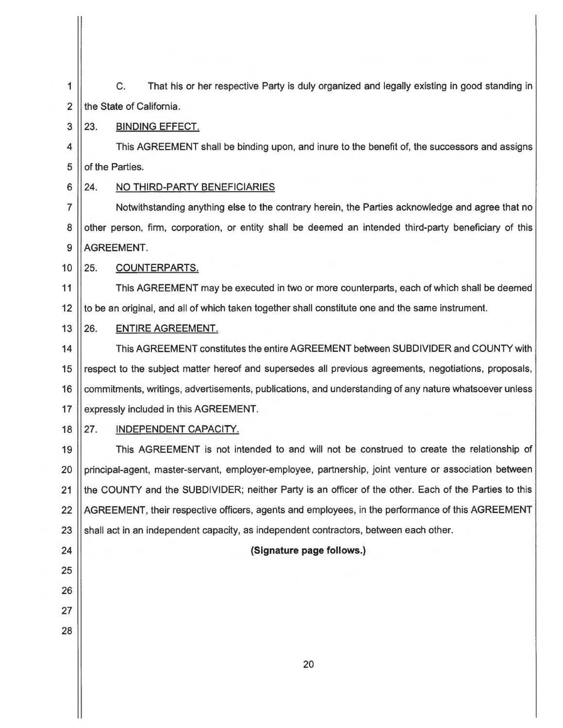1 | C. That his or her respective Party is duly organized and legally existing in good standing in 2 | the State of California.

## $3$   $\parallel$  23. BINDING EFFECT.

4 | This AGREEMENT shall be binding upon, and inure to the benefit of, the successors and assigns 5 | of the Parties.

# 6 24. NO THIRD-PARTY BENEFICIARIES

7 Notwithstanding anything else to the contrary herein, the Parties acknowledge and agree that no 8 | other person, firm, corporation, or entity shall be deemed an intended third-party beneficiary of this 9 | AGREEMENT.

10 25. COUNTERPARTS.

11 | This AGREEMENT may be executed in two or more counterparts, each of which shall be deemed 12 || to be an original, and all of which taken together shall constitute one and the same instrument.

13 26. ENTIRE AGREEMENT.

14 | This AGREEMENT constitutes the entire AGREEMENT between SUBDIVIDER and COUNTY with 15 | respect to the subject matter hereof and supersedes all previous agreements, negotiations, proposals, 16 | commitments, writings, advertisements, publications, and understanding of any nature whatsoever unless 17 | expressly included in this AGREEMENT.

# 18 27. INDEPENDENT CAPACITY.

19 This AGREEMENT is not intended to and will not be construed to create the relationship of 20 | principal-agent, master-servant, employer-employee, partnership, joint venture or association between 21 || the COUNTY and the SUBDIVIDER; neither Party is an officer of the other. Each of the Parties to this 22 AGREEMENT, their respective officers, agents and employees, in the performance of this AGREEMENT 23  $\parallel$  shall act in an independent capacity, as independent contractors, between each other.

- 24 **(Signature page follows.)**
- 25 26
- 27 28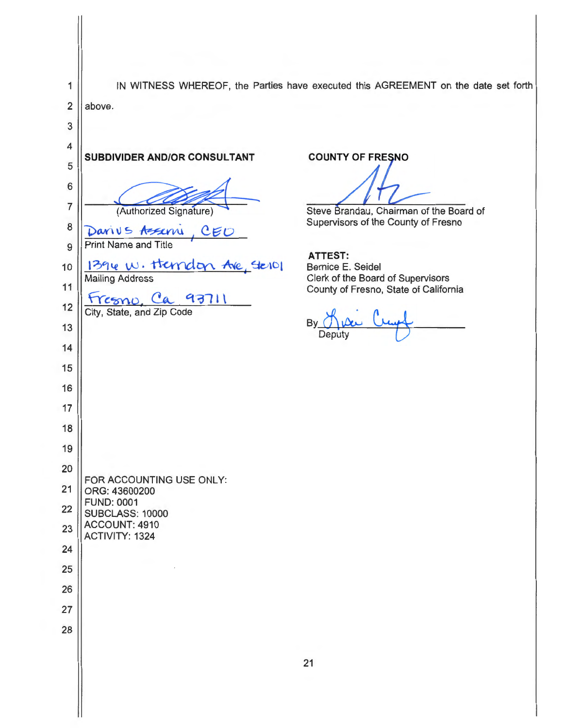1 IN WITNESS WHEREOF, the Parties have executed this AGREEMENT on the date set forth 2 above. 3 4 **SUBDIVIDER AND/OR CONSULTANT COUNTY OF FRESNO** 5 6 7 8<br> **Darivs Assemi**, CEO<br> **Print Name and Title** Steve Brandau, Chairman of the Board of Supervisors of the County of Fresno Print Name and Title **ATTEST:**  1394 W. Herndon Ave, Sterol 10 Bernice E. Seidel Clerk of the Board of Supervisors Mailing Address 11 County of Fresno, State of California  $12 \left\| \frac{\sqrt{5}}{\text{City, State, and Zip Code}} \right\|$  $\frac{1}{2}$   $\frac{1}{2}$ 13 **Deputy** 14 15 16 17 18 19 20 FOR ACCOUNTING USE ONLY: 21 ORG: 43600200 FUND: 0001 22 || SUBCLASS: 10000 23 ACCOUNT: 4910 ACTIVITY: 1324 24 25 26 27 28 21